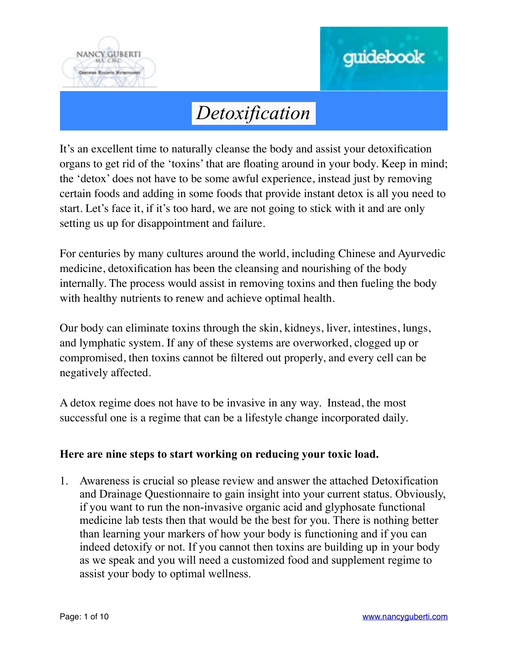



It's an excellent time to naturally cleanse the body and assist your detoxification organs to get rid of the 'toxins' that are floating around in your body. Keep in mind; the 'detox' does not have to be some awful experience, instead just by removing certain foods and adding in some foods that provide instant detox is all you need to start. Let's face it, if it's too hard, we are not going to stick with it and are only setting us up for disappointment and failure.

For centuries by many cultures around the world, including Chinese and Ayurvedic medicine, detoxification has been the cleansing and nourishing of the body internally. The process would assist in removing toxins and then fueling the body with healthy nutrients to renew and achieve optimal health.

Our body can eliminate toxins through the skin, kidneys, liver, intestines, lungs, and lymphatic system. If any of these systems are overworked, clogged up or compromised, then toxins cannot be filtered out properly, and every cell can be negatively affected.

A detox regime does not have to be invasive in any way. Instead, the most successful one is a regime that can be a lifestyle change incorporated daily.

#### **Here are nine steps to start working on reducing your toxic load.**

1. Awareness is crucial so please review and answer the attached Detoxification and Drainage Questionnaire to gain insight into your current status. Obviously, if you want to run the non-invasive organic acid and glyphosate functional medicine lab tests then that would be the best for you. There is nothing better than learning your markers of how your body is functioning and if you can indeed detoxify or not. If you cannot then toxins are building up in your body as we speak and you will need a customized food and supplement regime to assist your body to optimal wellness.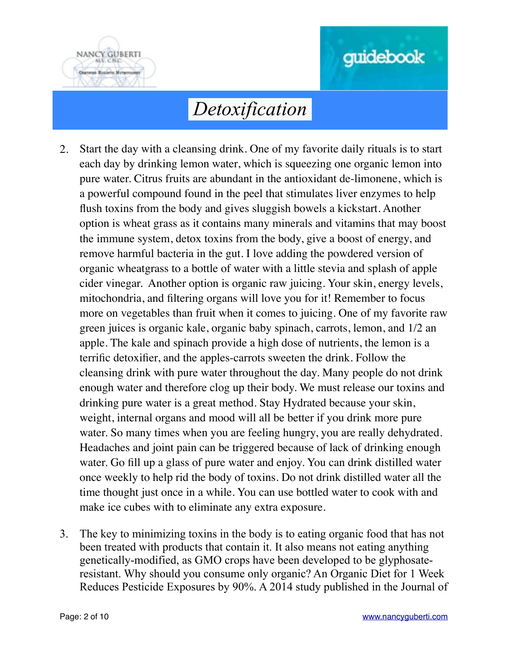



- 2. Start the day with a cleansing drink. One of my favorite daily rituals is to start each day by drinking lemon water, which is squeezing one organic lemon into pure water. Citrus fruits are abundant in the antioxidant de-limonene, which is a powerful compound found in the peel that stimulates liver enzymes to help flush toxins from the body and gives sluggish bowels a kickstart. Another option is wheat grass as it contains many minerals and vitamins that may boost the immune system, detox toxins from the body, give a boost of energy, and remove harmful bacteria in the gut. I love adding the powdered version of organic wheatgrass to a bottle of water with a little stevia and splash of apple cider vinegar. Another option is organic raw juicing. Your skin, energy levels, mitochondria, and filtering organs will love you for it! Remember to focus more on vegetables than fruit when it comes to juicing. One of my favorite raw green juices is organic kale, organic baby spinach, carrots, lemon, and 1/2 an apple. The kale and spinach provide a high dose of nutrients, the lemon is a terrific detoxifier, and the apples-carrots sweeten the drink. Follow the cleansing drink with pure water throughout the day. Many people do not drink enough water and therefore clog up their body. We must release our toxins and drinking pure water is a great method. Stay Hydrated because your skin, weight, internal organs and mood will all be better if you drink more pure water. So many times when you are feeling hungry, you are really dehydrated. Headaches and joint pain can be triggered because of lack of drinking enough water. Go fill up a glass of pure water and enjoy. You can drink distilled water once weekly to help rid the body of toxins. Do not drink distilled water all the time thought just once in a while. You can use bottled water to cook with and make ice cubes with to eliminate any extra exposure.
- 3. The key to minimizing toxins in the body is to eating organic food that has not been treated with products that contain it. It also means not eating anything genetically-modified, as GMO crops have been developed to be glyphosateresistant. Why should you consume only organic? An Organic Diet for 1 Week Reduces Pesticide Exposures by 90%. A 2014 study published in the Journal of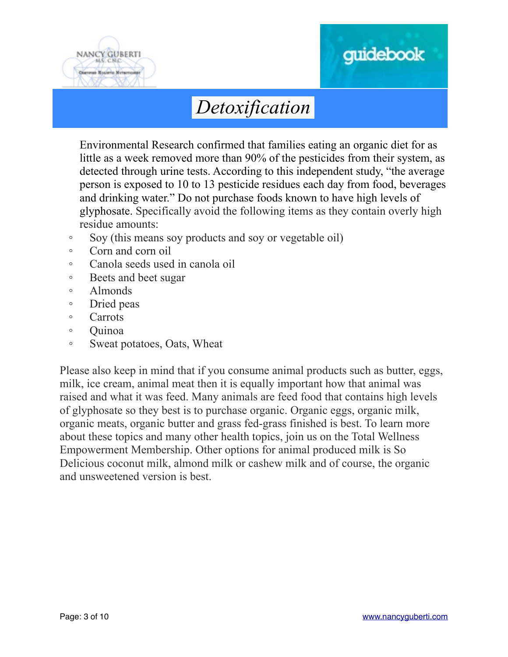



Environmental Research confirmed that families eating an organic diet for as little as a week removed more than 90% of the pesticides from their system, as detected through urine tests. According to this independent study, "the average person is exposed to 10 to 13 pesticide residues each day from food, beverages and drinking water." Do not purchase foods known to have high levels of glyphosate. Specifically avoid the following items as they contain overly high residue amounts:

- Soy (this means soy products and soy or vegetable oil)
- Corn and corn oil
- Canola seeds used in canola oil
- Beets and beet sugar
- Almonds
- Dried peas
- Carrots
- Quinoa
- Sweat potatoes, Oats, Wheat

Please also keep in mind that if you consume animal products such as butter, eggs, milk, ice cream, animal meat then it is equally important how that animal was raised and what it was feed. Many animals are feed food that contains high levels of glyphosate so they best is to purchase organic. Organic eggs, organic milk, organic meats, organic butter and grass fed-grass finished is best. To learn more about these topics and many other health topics, join us on the Total Wellness Empowerment Membership. Other options for animal produced milk is So Delicious coconut milk, almond milk or cashew milk and of course, the organic and unsweetened version is best.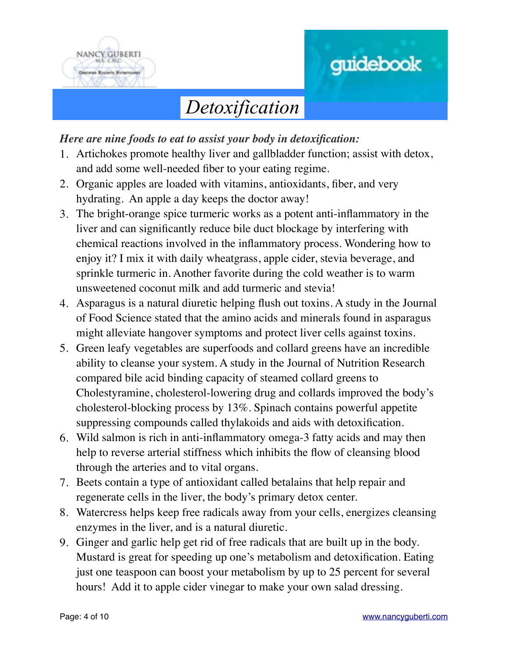



*Here are nine foods to eat to assist your body in detoxification:*

- 1. Artichokes promote healthy liver and gallbladder function; assist with detox, and add some well-needed fiber to your eating regime.
- 2. Organic apples are loaded with vitamins, antioxidants, fiber, and very hydrating. An apple a day keeps the doctor away!
- 3. The bright-orange spice turmeric works as a potent anti-inflammatory in the liver and can significantly reduce bile duct blockage by interfering with chemical reactions involved in the inflammatory process. Wondering how to enjoy it? I mix it with daily wheatgrass, apple cider, stevia beverage, and sprinkle turmeric in. Another favorite during the cold weather is to warm unsweetened coconut milk and add turmeric and stevia!
- 4. Asparagus is a natural diuretic helping flush out toxins. A study in the Journal of Food Science stated that the amino acids and minerals found in asparagus might alleviate hangover symptoms and protect liver cells against toxins.
- 5. Green leafy vegetables are superfoods and collard greens have an incredible ability to cleanse your system. A study in the Journal of Nutrition Research compared bile acid binding capacity of steamed collard greens to Cholestyramine, cholesterol-lowering drug and collards improved the body's cholesterol-blocking process by 13%. Spinach contains powerful appetite suppressing compounds called thylakoids and aids with detoxification.
- 6. Wild salmon is rich in anti-inflammatory omega-3 fatty acids and may then help to reverse arterial stiffness which inhibits the flow of cleansing blood through the arteries and to vital organs.
- 7. Beets contain a type of antioxidant called betalains that help repair and regenerate cells in the liver, the body's primary detox center.
- 8. Watercress helps keep free radicals away from your cells, energizes cleansing enzymes in the liver, and is a natural diuretic.
- 9. Ginger and garlic help get rid of free radicals that are built up in the body. Mustard is great for speeding up one's metabolism and detoxification. Eating just one teaspoon can boost your metabolism by up to 25 percent for several hours! Add it to apple cider vinegar to make your own salad dressing.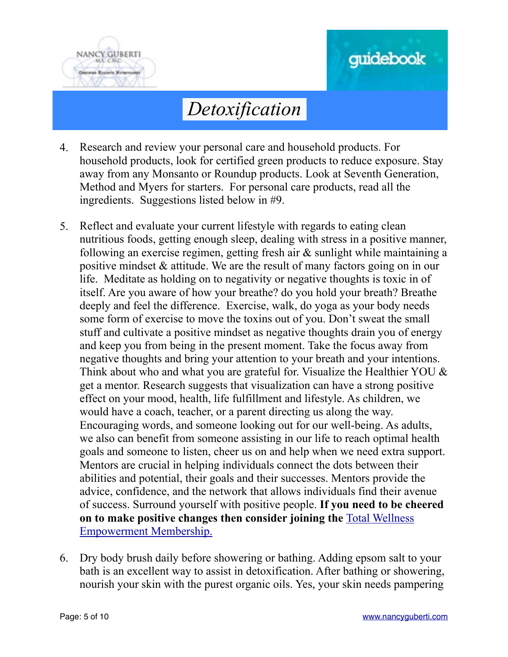

# guidebook

### *Detoxification*

- 4. Research and review your personal care and household products. For household products, look for certified green products to reduce exposure. Stay away from any Monsanto or Roundup products. Look at Seventh Generation, Method and Myers for starters. For personal care products, read all the ingredients. Suggestions listed below in #9.
- 5. Reflect and evaluate your current lifestyle with regards to eating clean nutritious foods, getting enough sleep, dealing with stress in a positive manner, following an exercise regimen, getting fresh air & sunlight while maintaining a positive mindset & attitude. We are the result of many factors going on in our life. Meditate as holding on to negativity or negative thoughts is toxic in of itself. Are you aware of how your breathe? do you hold your breath? Breathe deeply and feel the difference. Exercise, walk, do yoga as your body needs some form of exercise to move the toxins out of you. Don't sweat the small stuff and cultivate a positive mindset as negative thoughts drain you of energy and keep you from being in the present moment. Take the focus away from negative thoughts and bring your attention to your breath and your intentions. Think about who and what you are grateful for. Visualize the Healthier YOU  $\&$ get a mentor. Research suggests that visualization can have a strong positive effect on your mood, health, life fulfillment and lifestyle. As children, we would have a coach, teacher, or a parent directing us along the way. Encouraging words, and someone looking out for our well-being. As adults, we also can benefit from someone assisting in our life to reach optimal health goals and someone to listen, cheer us on and help when we need extra support. Mentors are crucial in helping individuals connect the dots between their abilities and potential, their goals and their successes. Mentors provide the advice, confidence, and the network that allows individuals find their avenue of success. Surround yourself with positive people. **If you need to be cheered [on to make positive changes then consider joining the](http://totalwellnessempowerment.com/membership/)** Total Wellness Empowerment Membership.
- 6. Dry body brush daily before showering or bathing. Adding epsom salt to your bath is an excellent way to assist in detoxification. After bathing or showering, nourish your skin with the purest organic oils. Yes, your skin needs pampering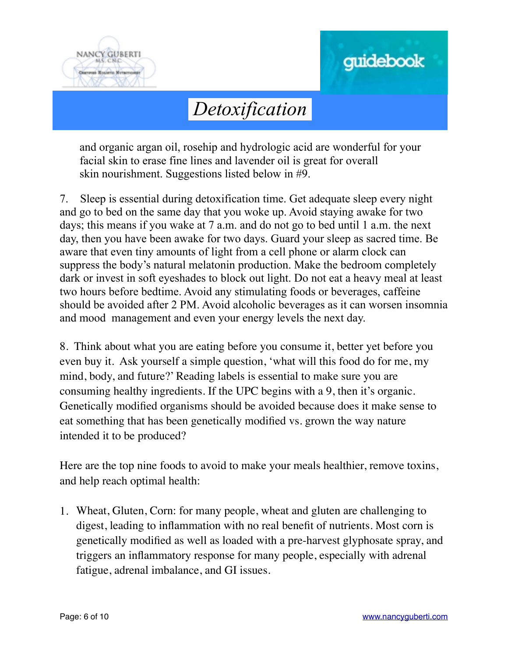



and organic argan oil, rosehip and hydrologic acid are wonderful for your facial skin to erase fine lines and lavender oil is great for overall skin nourishment. Suggestions listed below in #9.

7. Sleep is essential during detoxification time. Get adequate sleep every night and go to bed on the same day that you woke up. Avoid staying awake for two days; this means if you wake at 7 a.m. and do not go to bed until 1 a.m. the next day, then you have been awake for two days. Guard your sleep as sacred time. Be aware that even tiny amounts of light from a cell phone or alarm clock can suppress the body's natural melatonin production. Make the bedroom completely dark or invest in soft eyeshades to block out light. Do not eat a heavy meal at least two hours before bedtime. Avoid any stimulating foods or beverages, caffeine should be avoided after 2 PM. Avoid alcoholic beverages as it can worsen insomnia and mood management and even your energy levels the next day.

8. Think about what you are eating before you consume it, better yet before you even buy it. Ask yourself a simple question, 'what will this food do for me, my mind, body, and future?' Reading labels is essential to make sure you are consuming healthy ingredients. If the UPC begins with a 9, then it's organic. Genetically modified organisms should be avoided because does it make sense to eat something that has been genetically modified vs. grown the way nature intended it to be produced?

Here are the top nine foods to avoid to make your meals healthier, remove toxins, and help reach optimal health:

1. Wheat, Gluten, Corn: for many people, wheat and gluten are challenging to digest, leading to inflammation with no real benefit of nutrients. Most corn is genetically modified as well as loaded with a pre-harvest glyphosate spray, and triggers an inflammatory response for many people, especially with adrenal fatigue, adrenal imbalance, and GI issues.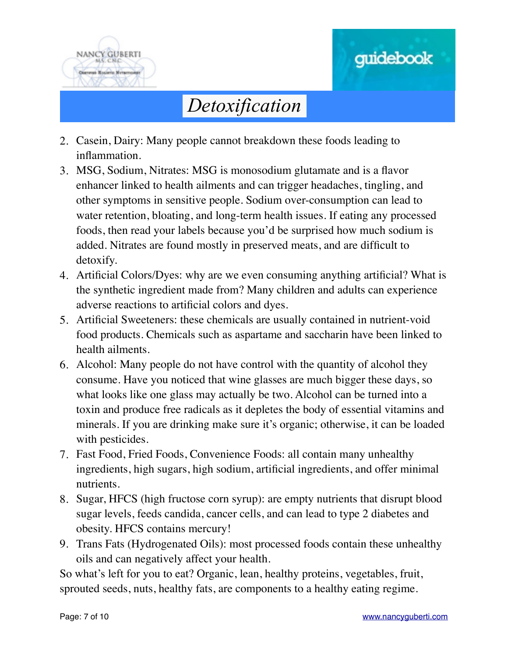



- 2. Casein, Dairy: Many people cannot breakdown these foods leading to inflammation.
- 3. MSG, Sodium, Nitrates: MSG is monosodium glutamate and is a flavor enhancer linked to health ailments and can trigger headaches, tingling, and other symptoms in sensitive people. Sodium over-consumption can lead to water retention, bloating, and long-term health issues. If eating any processed foods, then read your labels because you'd be surprised how much sodium is added. Nitrates are found mostly in preserved meats, and are difficult to detoxify.
- 4. Artificial Colors/Dyes: why are we even consuming anything artificial? What is the synthetic ingredient made from? Many children and adults can experience adverse reactions to artificial colors and dyes.
- 5. Artificial Sweeteners: these chemicals are usually contained in nutrient-void food products. Chemicals such as aspartame and saccharin have been linked to health ailments.
- 6. Alcohol: Many people do not have control with the quantity of alcohol they consume. Have you noticed that wine glasses are much bigger these days, so what looks like one glass may actually be two. Alcohol can be turned into a toxin and produce free radicals as it depletes the body of essential vitamins and minerals. If you are drinking make sure it's organic; otherwise, it can be loaded with pesticides.
- 7. Fast Food, Fried Foods, Convenience Foods: all contain many unhealthy ingredients, high sugars, high sodium, artificial ingredients, and offer minimal nutrients.
- 8. Sugar, HFCS (high fructose corn syrup): are empty nutrients that disrupt blood sugar levels, feeds candida, cancer cells, and can lead to type 2 diabetes and obesity. HFCS contains mercury!
- 9. Trans Fats (Hydrogenated Oils): most processed foods contain these unhealthy oils and can negatively affect your health.

So what's left for you to eat? Organic, lean, healthy proteins, vegetables, fruit, sprouted seeds, nuts, healthy fats, are components to a healthy eating regime.

guidebook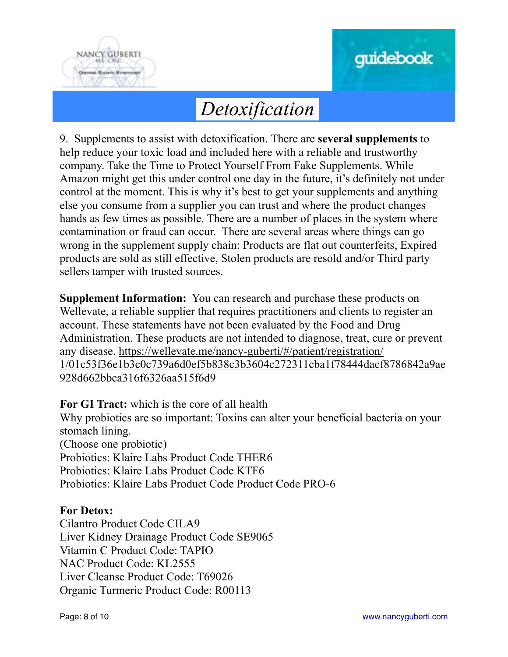



9. Supplements to assist with detoxification. There are **several supplements** to help reduce your toxic load and included here with a reliable and trustworthy company. Take the Time to Protect Yourself From Fake Supplements. While Amazon might get this under control one day in the future, it's definitely not under control at the moment. This is why it's best to get your supplements and anything else you consume from a supplier you can trust and where the product changes hands as few times as possible. There are a number of places in the system where contamination or fraud can occur. There are several areas where things can go wrong in the supplement supply chain: Products are flat out counterfeits, Expired products are sold as still effective, Stolen products are resold and/or Third party sellers tamper with trusted sources.

**Supplement Information:** You can research and purchase these products on Wellevate, a reliable supplier that requires practitioners and clients to register an account. These statements have not been evaluated by the Food and Drug Administration. These products are not intended to diagnose, treat, cure or prevent any disease. https://wellevate.me/nancy-guberti/#/patient/registration/ [1/01c53f36e1b3c0c739a6d0ef5b838c3b3604c272311cba1f78444dacf8786842a9ae](https://wellevate.me/nancy-guberti/#/patient/registration/1/01c53f36e1b3c0c739a6d0ef5b838c3b3604c272311cba1f78444dacf8786842a9ae928d662bbca316f6326aa515f6d9) 928d662bbca316f6326aa515f6d9

**For GI Tract:** which is the core of all health Why probiotics are so important: Toxins can alter your beneficial bacteria on your stomach lining. (Choose one probiotic) Probiotics: Klaire Labs Product Code THER6 Probiotics: Klaire Labs Product Code KTF6 Probiotics: Klaire Labs Product Code Product Code PRO-6

#### **For Detox:**

Cilantro Product Code CILA9 Liver Kidney Drainage Product Code SE9065 Vitamin C Product Code: TAPIO NAC Product Code: KL2555 Liver Cleanse Product Code: T69026 Organic Turmeric Product Code: R00113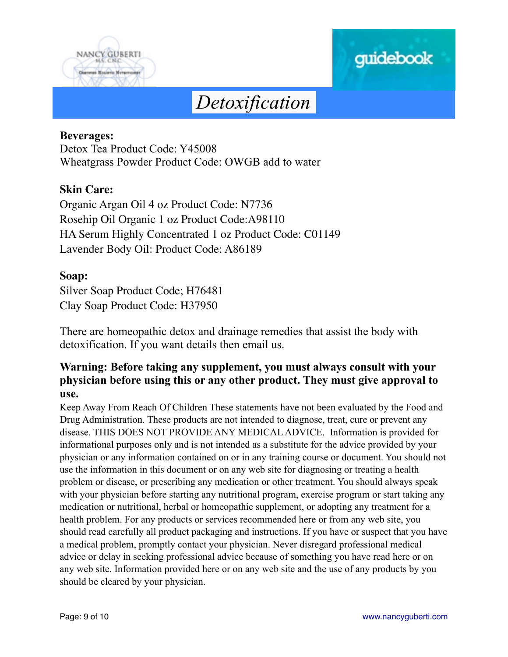



#### **Beverages:**

Detox Tea Product Code: Y45008 Wheatgrass Powder Product Code: OWGB add to water

#### **Skin Care:**

Organic Argan Oil 4 oz Product Code: N7736 Rosehip Oil Organic 1 oz Product Code:A98110 HA Serum Highly Concentrated 1 oz Product Code: C01149 Lavender Body Oil: Product Code: A86189

#### **Soap:**

Silver Soap Product Code; H76481 Clay Soap Product Code: H37950

There are homeopathic detox and drainage remedies that assist the body with detoxification. If you want details then email us.

#### **Warning: Before taking any supplement, you must always consult with your physician before using this or any other product. They must give approval to use.**

Keep Away From Reach Of Children These statements have not been evaluated by the Food and Drug Administration. These products are not intended to diagnose, treat, cure or prevent any disease. THIS DOES NOT PROVIDE ANY MEDICAL ADVICE. Information is provided for informational purposes only and is not intended as a substitute for the advice provided by your physician or any information contained on or in any training course or document. You should not use the information in this document or on any web site for diagnosing or treating a health problem or disease, or prescribing any medication or other treatment. You should always speak with your physician before starting any nutritional program, exercise program or start taking any medication or nutritional, herbal or homeopathic supplement, or adopting any treatment for a health problem. For any products or services recommended here or from any web site, you should read carefully all product packaging and instructions. If you have or suspect that you have a medical problem, promptly contact your physician. Never disregard professional medical advice or delay in seeking professional advice because of something you have read here or on any web site. Information provided here or on any web site and the use of any products by you should be cleared by your physician.